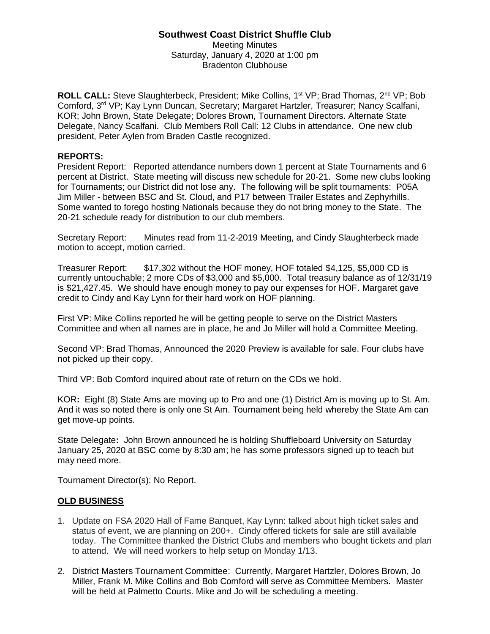## **Southwest Coast District Shuffle Club**

Meeting Minutes Saturday, January 4, 2020 at 1:00 pm Bradenton Clubhouse

**ROLL CALL:** Steve Slaughterbeck, President; Mike Collins, 1<sup>st</sup> VP; Brad Thomas, 2<sup>nd</sup> VP; Bob Comford, 3<sup>rd</sup> VP; Kay Lynn Duncan, Secretary; Margaret Hartzler, Treasurer; Nancy Scalfani, KOR; John Brown, State Delegate; Dolores Brown, Tournament Directors. Alternate State Delegate, Nancy Scalfani. Club Members Roll Call: 12 Clubs in attendance. One new club president, Peter Aylen from Braden Castle recognized.

## **REPORTS:**

President Report: Reported attendance numbers down 1 percent at State Tournaments and 6 percent at District. State meeting will discuss new schedule for 20-21. Some new clubs looking for Tournaments; our District did not lose any. The following will be split tournaments: P05A Jim Miller - between BSC and St. Cloud, and P17 between Trailer Estates and Zephyrhills. Some wanted to forego hosting Nationals because they do not bring money to the State. The 20-21 schedule ready for distribution to our club members.

Secretary Report: Minutes read from 11-2-2019 Meeting, and Cindy Slaughterbeck made motion to accept, motion carried.

Treasurer Report: \$17,302 without the HOF money, HOF totaled \$4,125, \$5,000 CD is currently untouchable; 2 more CDs of \$3,000 and \$5,000. Total treasury balance as of 12/31/19 is \$21,427.45. We should have enough money to pay our expenses for HOF. Margaret gave credit to Cindy and Kay Lynn for their hard work on HOF planning.

First VP: Mike Collins reported he will be getting people to serve on the District Masters Committee and when all names are in place, he and Jo Miller will hold a Committee Meeting.

Second VP: Brad Thomas, Announced the 2020 Preview is available for sale. Four clubs have not picked up their copy.

Third VP: Bob Comford inquired about rate of return on the CDs we hold.

KOR**:** Eight (8) State Ams are moving up to Pro and one (1) District Am is moving up to St. Am. And it was so noted there is only one St Am. Tournament being held whereby the State Am can get move-up points.

State Delegate**:** John Brown announced he is holding Shuffleboard University on Saturday January 25, 2020 at BSC come by 8:30 am; he has some professors signed up to teach but may need more.

Tournament Director(s): No Report.

## **OLD BUSINESS**

- 1. Update on FSA 2020 Hall of Fame Banquet, Kay Lynn: talked about high ticket sales and status of event, we are planning on 200+. Cindy offered tickets for sale are still available today. The Committee thanked the District Clubs and members who bought tickets and plan to attend. We will need workers to help setup on Monday 1/13.
- 2. District Masters Tournament Committee: Currently, Margaret Hartzler, Dolores Brown, Jo Miller, Frank M. Mike Collins and Bob Comford will serve as Committee Members. Master will be held at Palmetto Courts. Mike and Jo will be scheduling a meeting.